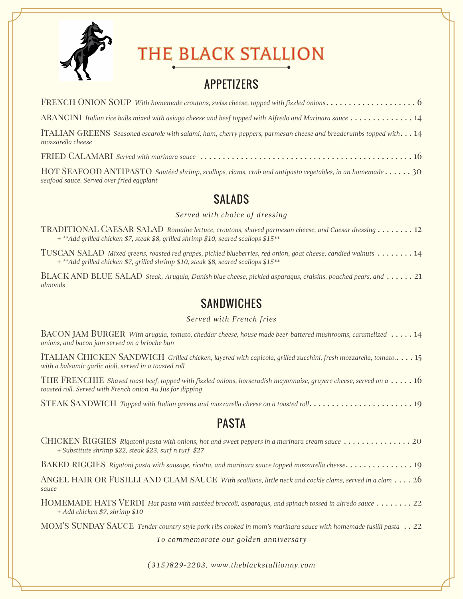

*seafood sauce. Served over fried eggplant*

# THE BLACK STALLION

### APPETIZERS

| ARANCINI Italian rice balls mixed with asiago cheese and beef topped with Alfredo and Marinara sauce $\dots\dots\dots\dots\dots14$    |
|---------------------------------------------------------------------------------------------------------------------------------------|
| ITALIAN GREENS Seasoned escarole with salami, ham, cherry peppers, parmesan cheese and breadcrumbs topped with14<br>mozzarella cheese |
|                                                                                                                                       |
| HOT SEAFOOD ANTIPASTO Sautéed shrimp, scallops, clams, crab and antipasto vegetables, in an homemade 30                               |

**SALADS** 

#### *Served with choice of dressing*

traditional Caesar salad *Romaine lettuce, croutons, shaved parmesan cheese, and Caesar dressing* . . . . . . . . 12 *+ \*\*Add grilled chicken \$7, steak \$8, grilled shrimp \$10, seared scallops \$15\*\**

Tuscan salad *Mixed greens, roasted red grapes, pickled blueberries, red onion, goat cheese, candied walnuts* . . . . . . . . 14 *+ \*\*Add grilled chicken \$7, grilled shrimp \$10, steak \$8, seared scallops \$15\*\**

BLACK AND BLUE SALAD *Steak, Arugula, Danish blue cheese, pickled asparagus, craisins, poached pears, and* . . . . . . 21 *almonds*

#### **SANDWICHES**

#### *Served with French fries*

|  | BACON JAM BURGER With arugula, tomato, cheddar cheese, house made beer-battered mushrooms, caramelized $\,\ldots\,$ 14 |  |
|--|------------------------------------------------------------------------------------------------------------------------|--|
|  | onions, and bacon jam served on a brioche bun                                                                          |  |
|  |                                                                                                                        |  |

Italian Chicken Sandwich *Grilled chicken, layered with capicola, grilled zucchini, fresh mozzarella, tomato,*. . . . 15 *with a balsamic garlic aioli, served in a toasted roll*

THE FRENCHIE *Shaved roast beef, topped with fizzled onions, horseradish mayonnaise, gruyere cheese, served on a*  $\dots$  16 *toasted roll. Served with French onion Au Jus for dipping*

Steak Sandwich *Topped with Italian greens and mozzarella cheese on a toasted roll*. . . . . . . . . . . . . . . . . . . . . . . 19

#### PASTA

| CHICKEN RIGGIES Rigatoni pasta with onions, hot and sweet peppers in a marinara cream sauce $\dots\dots\dots\dots\dots$ 20<br>+ Substitute shrimp \$22, steak \$23, surf n turf \$27 |
|--------------------------------------------------------------------------------------------------------------------------------------------------------------------------------------|
| BAKED RIGGIES Rigatoni pasta with sausage, ricotta, and marinara sauce topped mozzarella cheese. 19                                                                                  |
| ANGEL HAIR OR FUSILLI AND CLAM SAUCE With scallions, little neck and cockle clams, served in a clam 26<br>sauce                                                                      |
| HOMEMADE HATS VERDI Hat pasta with sautéed broccoli, asparagus, and spinach tossed in alfredo sauce  22<br>+ Add chicken \$7, shrimp \$10                                            |
| MOM'S SUNDAY SAUCE Tender country style pork ribs cooked in mom's marinara sauce with homemade fusilli pasta  22                                                                     |
| To commemorate our golden anniversary                                                                                                                                                |

*(315)829-2203, www.theblackstallionny.com*